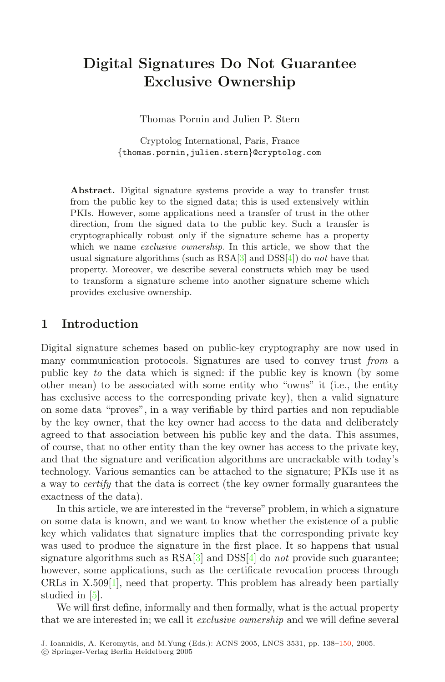# **Digital Signatures Do Not Guarantee Exclusive Ownership**

Thomas Pornin and Julien P. Stern

Cryptolog International, Paris, France {thomas.pornin,julien.stern}@cryptolog.com

**Abstract.** Digital signature systems provide a way to transfer trust from the public key to the signed data; this is used extensively within PKIs. However, some applications need a transfer of trust in the other direction, from the signed data to the public key. Such a transfer is cryptographically robust only if the signature scheme has a property which we name *exclusive ownership*. In this article, we show that the usual signature algorithms (such as  $\text{RSA}[3]$  and  $\text{DSS}[4]$ ) do *not* have that property. Moreover, we describe several constructs which may be used to transform a signature scheme into another signature scheme which provides exclusive ownership.

# **1 Introduction**

Digital signature schemes based on public-key cryptography are now used in many communication protocols. Signatures are used to convey trust *from* a public key *to* the data which is signed: if the public key is known (by some other mean) to be associated with some entity who "owns" it (i.e., the entity has exclusive access to the corresponding private key), then a valid signature on some data "proves", in a way verifiable by third parties and non repudiable by the key owner, that the key owner had access to the data and deliberately agreed to that association between his public key and the data. This assumes, of course, that no other entity than the key owner has access to the private key, and that the signature and verification algorithms are uncrackable with today's technology. Various semantics can be attached to the signature; PKIs use it as a way to *certify* that the data is correct (the key owner formally guarantees the exactness of the data).

In this article, we are interested in the "reverse" problem, in which a signature on some data is known, and we want to know whether the existence of a public key which validates that signature implies that the corresponding private key was used to produce the signature in the first place. It so happens that usual signature algorithms such as RS[A\[3](#page-12-0)] and DS[S\[4](#page-12-1)] do *not* provide such guarantee; however, some applications, such as the certificate revocation process through CRLs in  $X.509[1]$  $X.509[1]$  $X.509[1]$ , need that property. This problem has already been partially studied in [\[5](#page-12-2)].

We will first define, informally and then formally, what is the actual property that we are interested in; we call it *exclusive ownership* and we will define several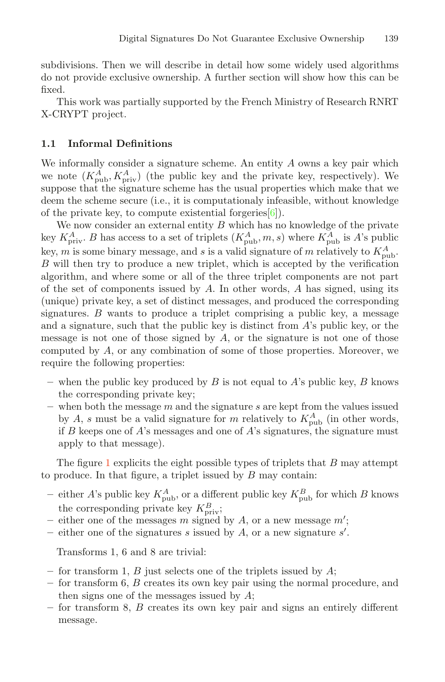subdivisions. Then we will describe in detail how some widely used algorithms do not provide exclusive ownership. A further section will show how this can be fixed.

This work was partially supported by the French Ministry of Research RNRT X-CRYPT project.

#### **1.1 Informal Definitions**

We informally consider a signature scheme. An entity  $A$  owns a key pair which we note  $(K_{\text{pub}}^{\tilde{A}}, K_{\text{priv}}^A)$  (the public key and the private key, respectively). We suppose that the signature scheme has the usual properties which make that we deem the scheme secure (i.e., it is computationaly infeasible, without knowledge of the private key, to compute existential forgeries  $[6]$ .

We now consider an external entity  $B$  which has no knowledge of the private key  $K_{\text{priv}}^{A}$ . B has access to a set of triplets  $(K_{\text{pub}}^{A}, m, s)$  where  $K_{\text{pub}}^{A}$  is A's public key, m is some binary message, and s is a valid signature of m relatively to  $K_{\text{pub}}^A$ . B will then try to produce a new triplet, which is accepted by the verification algorithm, and where some or all of the three triplet components are not part of the set of components issued by  $A$ . In other words,  $A$  has signed, using its (unique) private key, a set of distinct messages, and produced the corresponding signatures.  $B$  wants to produce a triplet comprising a public key, a message and a signature, such that the public key is distinct from  $A$ 's public key, or the message is not one of those signed by  $A$ , or the signature is not one of those computed by A, or any combination of some of those properties. Moreover, we require the following properties:

- **–** when the public key produced by B is not equal to A's public key, B knows the corresponding private key;
- **–** when both the message m and the signature s are kept from the values issued by A, s must be a valid signature for m relatively to  $K_{\text{pub}}^A$  (in other words, if B keeps one of  $A$ 's messages and one of  $A$ 's signatures, the signature must apply to that message).

Th[e](#page-2-0) figure 1 explicits the eight possible types of triplets that  $B$  may attempt to produce. In that figure, a triplet issued by  $B$  may contain:

- either A's public key  $K_{\text{pub}}^A$ , or a different public key  $K_{\text{pub}}^B$  for which B knows the corresponding private key  $K_{\text{priv}}^B$ ;
- $-$  either one of the messages m signed by A, or a new message  $m'$ ;
- $-$  either one of the signatures s issued by A, or a new signature  $s'$ .

Transforms 1, 6 and 8 are trivial:

- **–** for transform 1, B just selects one of the triplets issued by A;
- **–** for transform 6, B creates its own key pair using the normal procedure, and then signs one of the messages issued by A;
- **–** for transform 8, B creates its own key pair and signs an entirely different message.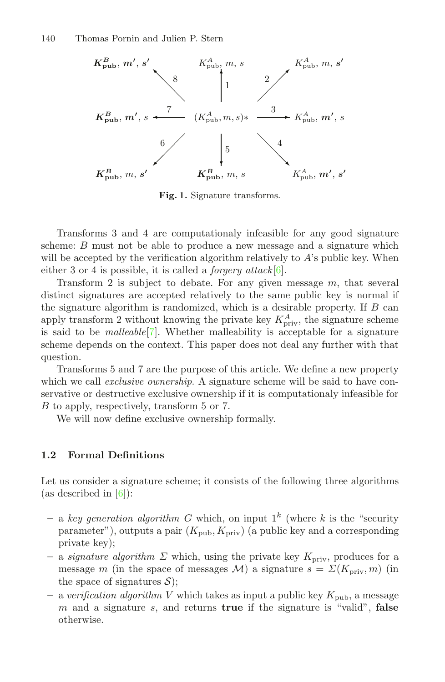

<span id="page-2-0"></span>**Fig. 1.** Signature transforms.

Transforms 3 and 4 are computationaly infeasible for any good signature scheme: B must not be able to produce a new message and a signature which will be accepted by the verification algorithm relatively to  $A$ 's public key. When either 3 or 4 is possible, it is called a *forgery attack*[\[6](#page-12-4)].

Transform 2 is subject to debate. For any given message  $m$ , that several distinct signatures are accepted relatively to the same public key is normal if the signature algorithm is randomized, which is a desirable property. If  $B$  can apply transform 2 without knowing the private key  $K_{\text{priv}}^{A}$ , the signature scheme is said to be *malleable*[\[7](#page-12-5)]. Whether malleability is acceptable for a signature scheme depends on the context. This paper does not deal any further with that question.

Transforms 5 and 7 are the purpose of this article. We define a new property which we call *exclusive ownership*. A signature scheme will be said to have conservative or destructive exclusive ownership if it is computationaly infeasible for B to apply, respectively, transform 5 or 7.

We will now define exclusive ownership formally.

#### **1.2 Formal Definitions**

Let us consider a signature scheme; it consists of the following three algorithms (as described in  $[6]$  $[6]$ ):

- a *key generation algorithm* G which, on input  $1^k$  (where k is the "security" parameter"), outputs a pair  $(K_{\text{pub}}, K_{\text{priv}})$  (a public key and a corresponding private key);
- $-$  a *signature algorithm*  $\Sigma$  which, using the private key  $K_{\text{priv}}$ , produces for a message m (in the space of messages M) a signature  $s = \Sigma(K_{\text{priv}}, m)$  (in the space of signatures  $S$ ;
- **–** a *verification algorithm* V which takes as input a public key Kpub, a message m and a signature s, and returns **true** if the signature is "valid", **false** otherwise.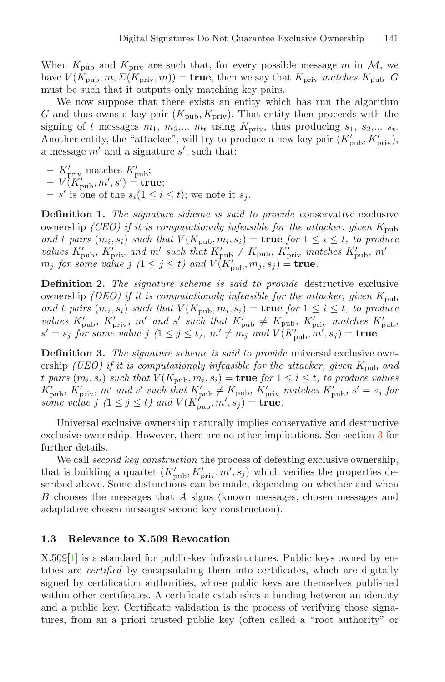When  $K_{\text{pub}}$  and  $K_{\text{priv}}$  are such that, for every possible message m in M, we have  $V(K_{\text{pub}}, m, \Sigma(K_{\text{priv}}, m)) = \text{true}$ , then we say that  $K_{\text{priv}}$  *matches*  $K_{\text{pub}}$ . G must be such that it outputs only matching key pairs.

We now suppose that there exists an entity which has run the algorithm G and thus owns a key pair  $(K_{\text{pub}}, K_{\text{priv}})$ . That entity then proceeds with the signing of t messages  $m_1$ ,  $m_2$ ,...  $m_t$  using  $K_{\text{priv}}$ , thus producing  $s_1$ ,  $s_2$ ,...  $s_t$ . Another entity, the "attacker", will try to produce a new key pair  $(K'_{\text{pub}}, K'_{\text{priv}})$ , a message  $m'$  and a signature  $s'$ , such that:

- $-$  K'<sub>priv</sub> matches K'<sub>pub</sub>;
- $-V(K'_{\text{pub}}, m', s') = \textbf{true};$
- $s'$  is one of the  $s_i (1 \leq i \leq t)$ ; we note it  $s_j$ .

**Definition 1.** *The signature scheme is said to provide* conservative exclusive ownership *(CEO)* if it is computationaly infeasible for the attacker, given  $K_{\text{pub}}$ *and t pairs*  $(m_i, s_i)$  *such that*  $V(K_{\text{pub}}, m_i, s_i) = \text{true}$  *for*  $1 \leq i \leq t$ *, to produce values*  $K'_{\text{pub}}$ *,*  $K'_{\text{priv}}$  and  $m'$  such that  $K'_{\text{pub}} \neq K_{\text{pub}}$ *,*  $K'_{\text{priv}}$  matches  $K'_{\text{pub}}$ *,*  $m' =$  $m_j$  for some value  $j$   $(1 \leq j \leq t)$  and  $V(K'_{\text{pub}}, m_j, s_j) = \textbf{true}.$ 

**Definition 2.** *The signature scheme is said to provide* destructive exclusive ownership *(DEO) if it is computationaly infeasible for the attacker, given*  $K_{\text{pub}}$ *and t pairs*  $(m_i, s_i)$  *such that*  $V(K_{\text{pub}}, m_i, s_i) = \text{true}$  *for*  $1 \leq i \leq t$ *, to produce values*  $K'_{\text{pub}}$ *,*  $K'_{\text{priv}}$ *, m'* and s' such that  $K'_{\text{pub}} \neq K_{\text{pub}}$ *,*  $K'_{\text{priv}}$  matches  $K'_{\text{pub}}$ *,*  $s' = s_j$  for some value  $j$   $(1 \leq j \leq t)$ ,  $m' \neq m_j$  and  $V(K'_{\text{pub}}, m', s_j) = \textbf{true}$ .

**Definition 3.** *The signature scheme is said to provide* universal exclusive ownership *(UEO)* if it is computationaly infeasible for the attacker, given  $K_{\text{pub}}$  and t pairs  $(m_i, s_i)$  such that  $V(K_{\text{pub}}, m_i, s_i) = \text{true}$  for  $1 \leq i \leq t$ , to produce values  $K'_{\text{pub}}$ *,*  $K'_{\text{priv}}$ *, m'* and s' such that  $K'_{\text{pub}} \neq K_{\text{pub}}$ *,*  $K'_{\text{priv}}$  matches  $K'_{\text{pub}}$ *, s'* = s<sub>j</sub> for some value  $j$   $(1 \leq j \leq t)$  and  $V(K'_{\text{pub}}, m', s_j) = \textbf{true}.$ 

Universal exclusive ownership naturally implies conservative and destructive exclusive ownership. However, there are no other implications. See sectio[n](#page-8-0) 3 for further details.

We call *second key construction* the process of defeating exclusive ownership, that is building a quartet  $(K'_{\text{pub}}, K'_{\text{priv}}, m', s_j)$  which verifies the properties described above. Some distinctions can be made, depending on whether and when B chooses the messages that A signs (known messages, chosen messages and adaptative chosen messages second key construction).

#### **1.3 Relevance to X.509 Revocation**

X.50[9\[](#page-11-0)1] is a standard for public-key infrastructures. Public keys owned by entities are *certified* by encapsulating them into certificates, which are digitally signed by certification authorities, whose public keys are themselves published within other certificates. A certificate establishes a binding between an identity and a public key. Certificate validation is the process of verifying those signatures, from an a priori trusted public key (often called a "root authority" or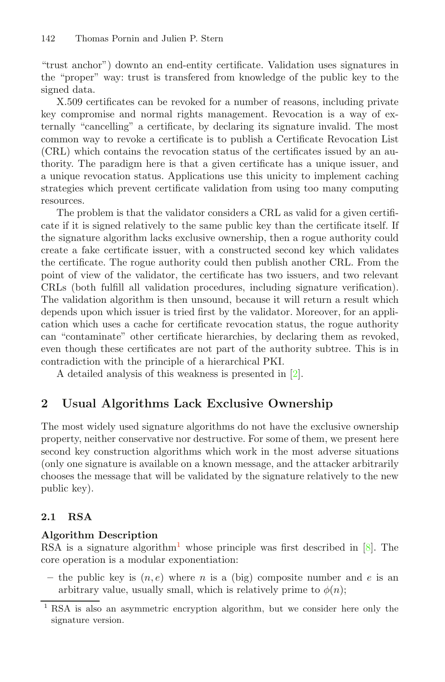"trust anchor") downto an end-entity certificate. Validation uses signatures in the "proper" way: trust is transfered from knowledge of the public key to the signed data.

X.509 certificates can be revoked for a number of reasons, including private key compromise and normal rights management. Revocation is a way of externally "cancelling" a certificate, by declaring its signature invalid. The most common way to revoke a certificate is to publish a Certificate Revocation List (CRL) which contains the revocation status of the certificates issued by an authority. The paradigm here is that a given certificate has a unique issuer, and a unique revocation status. Applications use this unicity to implement caching strategies which prevent certificate validation from using too many computing resources.

The problem is that the validator considers a CRL as valid for a given certificate if it is signed relatively to the same public key than the certificate itself. If the signature algorithm lacks exclusive ownership, then a rogue authority could create a fake certificate issuer, with a constructed second key which validates the certificate. The rogue authority could then publish another CRL. From the point of view of the validator, the certificate has two issuers, and two relevant CRLs (both fulfill all validation procedures, including signature verification). The validation algorithm is then unsound, because it will return a result which depends upon which issuer is tried first by the validator. Moreover, for an application which uses a cache for certificate revocation status, the rogue authority can "contaminate" other certificate hierarchies, by declaring them as revoked, even though these certificates are not part of the authority subtree. This is in contradiction with the principle of a hierarchical PKI.

A detailed analysis of this weakness is presented in [\[2](#page-11-1)].

# **2 Usual Algorithms Lack Exclusive Ownership**

The most widely used signature algorithms do not have the exclusive ownership property, neither conservative nor destructive. For some of them, we present here second key construction algorithms which work in the most adverse situations (only one signature is available on a known message, and the attacker arbitrarily chooses the message that will be validated by the signature relatively to the new public key).

# **2.1 RSA**

# **Algorithm Description**

RSA is a signature algorith[m](#page-4-0)<sup>1</sup> whose principle was first described in  $[8]$  $[8]$ . The core operation is a modular exponentiation:

– the public key is  $(n, e)$  where n is a (big) composite number and e is an arbitrary value, usually small, which is relatively prime to  $\phi(n)$ ;

<span id="page-4-0"></span><sup>1</sup> RSA is also an asymmetric encryption algorithm, but we consider here only the signature version.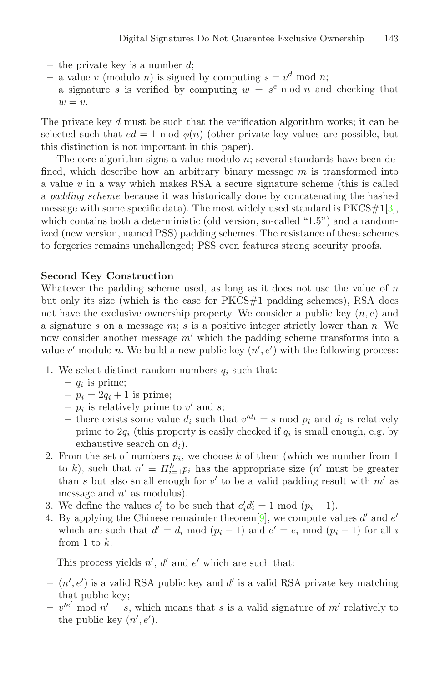- **–** the private key is a number d;
- a value v (modulo n) is signed by computing  $s = v^d \mod n$ ;
- a signature s is verified by computing  $w = s<sup>e</sup>$  mod n and checking that  $w = v$ .

The private key d must be such that the verification algorithm works; it can be selected such that  $ed = 1 \mod \phi(n)$  (other private key values are possible, but this distinction is not important in this paper).

The core algorithm signs a value modulo  $n$ ; several standards have been defined, which describe how an arbitrary binary message  $m$  is transformed into a value  $v$  in a way which makes RSA a secure signature scheme (this is called a *padding scheme* because it was historically done by concatenating the hashed message with some specific data). The most widely used standard is  $PKCS#1[3]$  $PKCS#1[3]$  $PKCS#1[3]$ . which contains both a deterministic (old version, so-called "1.5") and a randomized (new version, named PSS) padding schemes. The resistance of these schemes to forgeries remains unchallenged; PSS even features strong security proofs.

### **Second Key Construction**

Whatever the padding scheme used, as long as it does not use the value of  $n$ but only its size (which is the case for PKCS#1 padding schemes), RSA does not have the exclusive ownership property. We consider a public key  $(n, e)$  and a signature s on a message m; s is a positive integer strictly lower than n. We now consider another message  $m'$  which the padding scheme transforms into a value  $v'$  modulo n. We build a new public key  $(n', e')$  with the following process:

- 1. We select distinct random numbers  $q_i$  such that:
	- **–** q*<sup>i</sup>* is prime;
	- $-p_i = 2q_i + 1$  is prime;
	- $p_i$  is relatively prime to v' and s;
	- there exists some value  $d_i$  such that  $v'^{d_i} = s \mod p_i$  and  $d_i$  is relatively prime to  $2q_i$  (this property is easily checked if  $q_i$  is small enough, e.g. by exhaustive search on d*i*).
- 2. From the set of numbers  $p_i$ , we choose k of them (which we number from 1) to k), such that  $n' = \prod_{i=1}^{k} p_i$  has the appropriate size  $(n'$  must be greater than s but also small enough for  $v'$  to be a valid padding result with  $m'$  as message and  $n'$  as modulus).
- 3. We define the values  $e'_i$  to be such that  $e'_i d'_i = 1 \mod (p_i 1)$ .
- 4. By applying the Chinese remainder theorem [9], we compute values d' and  $e'$ which are such that  $d' = d_i \mod (p_i - 1)$  and  $e' = e_i \mod (p_i - 1)$  for all i from 1 to k.

This process yields  $n', d'$  and  $e'$  which are such that:

- $(n', e')$  is a valid RSA public key and d<sup>'</sup> is a valid RSA private key matching that public key;
- $v'^{e'}$  mod  $n' = s$ , which means that s is a valid signature of m' relatively to the public key  $(n', e')$ .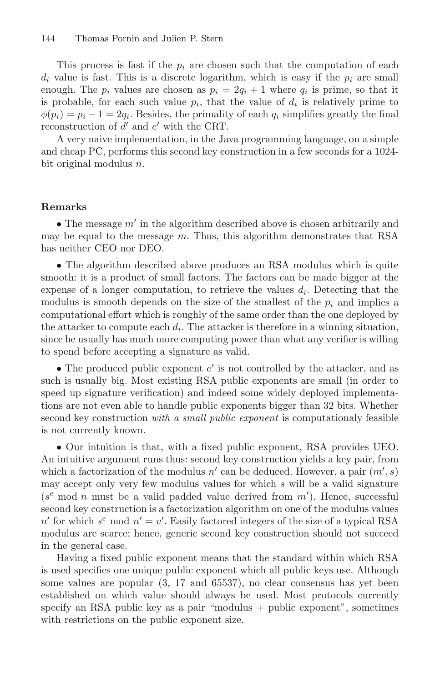This process is fast if the  $p_i$  are chosen such that the computation of each  $d_i$  value is fast. This is a discrete logarithm, which is easy if the  $p_i$  are small enough. The  $p_i$  values are chosen as  $p_i = 2q_i + 1$  where  $q_i$  is prime, so that it is probable, for each such value  $p_i$ , that the value of  $d_i$  is relatively prime to  $\phi(p_i) = p_i - 1 = 2q_i$ . Besides, the primality of each  $q_i$  simplifies greatly the final reconstruction of  $d'$  and  $e'$  with the CRT.

A very naive implementation, in the Java programming language, on a simple and cheap PC, performs this second key construction in a few seconds for a 1024 bit original modulus n.

#### **Remarks**

• The message  $m'$  in the algorithm described above is chosen arbitrarily and may be equal to the message  $m$ . Thus, this algorithm demonstrates that RSA has neither CEO nor DEO.

• The algorithm described above produces an RSA modulus which is quite smooth: it is a product of small factors. The factors can be made bigger at the expense of a longer computation, to retrieve the values  $d_i$ . Detecting that the modulus is smooth depends on the size of the smallest of the  $p_i$  and implies a computational effort which is roughly of the same order than the one deployed by the attacker to compute each  $d_i$ . The attacker is therefore in a winning situation, since he usually has much more computing power than what any verifier is willing to spend before accepting a signature as valid.

• The produced public exponent  $e'$  is not controlled by the attacker, and as such is usually big. Most existing RSA public exponents are small (in order to speed up signature verification) and indeed some widely deployed implementations are not even able to handle public exponents bigger than 32 bits. Whether second key construction *with a small public exponent* is computationaly feasible is not currently known.

• Our intuition is that, with a fixed public exponent, RSA provides UEO. An intuitive argument runs thus: second key construction yields a key pair, from which a factorization of the modulus  $n'$  can be deduced. However, a pair  $(m', s)$ may accept only very few modulus values for which s will be a valid signature  $(s^e \mod n$  must be a valid padded value derived from  $m'$ ). Hence, successful second key construction is a factorization algorithm on one of the modulus values  $n'$  for which  $s^e$  mod  $n' = v'$ . Easily factored integers of the size of a typical RSA modulus are scarce; hence, generic second key construction should not succeed in the general case.

Having a fixed public exponent means that the standard within which RSA is used specifies one unique public exponent which all public keys use. Although some values are popular (3, 17 and 65537), no clear consensus has yet been established on which value should always be used. Most protocols currently specify an RSA public key as a pair "modulus + public exponent", sometimes with restrictions on the public exponent size.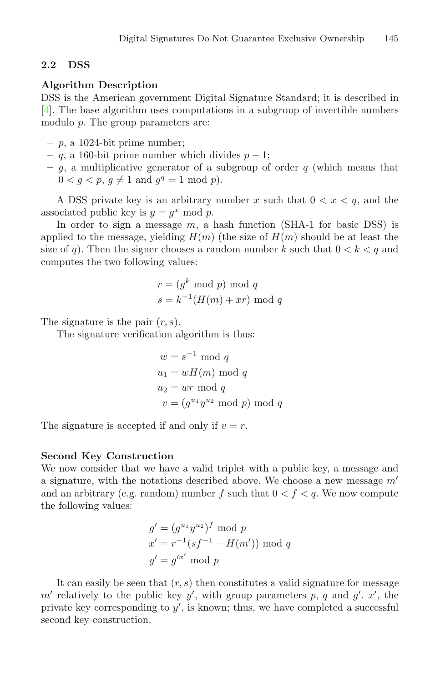# **2.2 DSS**

#### **Algorithm Description**

DSS is the American government Digital Signature Standard; it is described in [\[4](#page-12-1)]. The base algorithm uses computations in a subgroup of invertible numbers modulo p. The group parameters are:

- **–** p, a 1024-bit prime number;
- **–** q, a 160-bit prime number which divides p − 1;
- $-$  g, a multiplicative generator of a subgroup of order  $q$  (which means that  $0 < g < p, g \neq 1 \text{ and } g<sup>q</sup> = 1 \text{ mod } p.$

A DSS private key is an arbitrary number x such that  $0 < x < q$ , and the associated public key is  $y = g^x \mod p$ .

In order to sign a message  $m$ , a hash function (SHA-1 for basic DSS) is applied to the message, yielding  $H(m)$  (the size of  $H(m)$  should be at least the size of q). Then the signer chooses a random number k such that  $0 < k < q$  and computes the two following values:

$$
r = (gk \mod p) \mod q
$$

$$
s = k-1(H(m) + xr) \mod q
$$

The signature is the pair  $(r, s)$ .

The signature verification algorithm is thus:

$$
w = s^{-1} \mod q
$$
  
 
$$
u_1 = wH(m) \mod q
$$
  
 
$$
u_2 = wr \mod q
$$
  
 
$$
v = (g^{u_1}y^{u_2} \mod p) \mod q
$$

The signature is accepted if and only if  $v = r$ .

#### **Second Key Construction**

We now consider that we have a valid triplet with a public key, a message and a signature, with the notations described above. We choose a new message  $m'$ and an arbitrary (e.g. random) number f such that  $0 < f < q$ . We now compute the following values:

$$
g' = (g^{u_1}y^{u_2})^f \mod p
$$
  

$$
x' = r^{-1}(sf^{-1} - H(m')) \mod q
$$
  

$$
y' = g'^{x'} \mod p
$$

It can easily be seen that  $(r, s)$  then constitutes a valid signature for message m' relatively to the public key y', with group parameters p, q and  $g'$ . x', the private key corresponding to  $y'$ , is known; thus, we have completed a successful second key construction.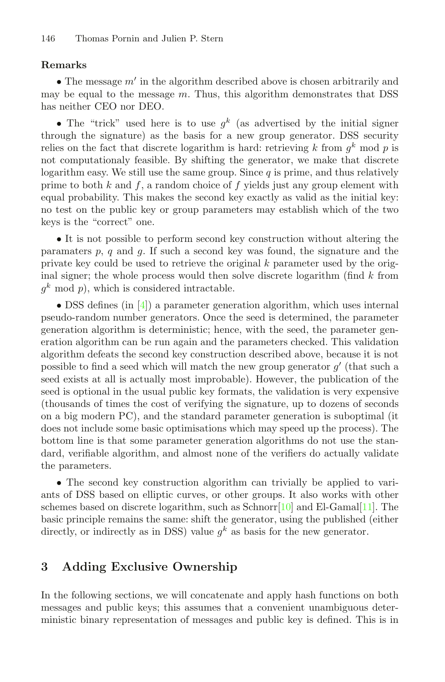# <span id="page-8-1"></span>**Remarks**

• The message  $m'$  in the algorithm described above is chosen arbitrarily and may be equal to the message  $m$ . Thus, this algorithm demonstrates that DSS has neither CEO nor DEO.

• The "trick" used here is to use  $q^k$  (as advertised by the initial signer through the signature) as the basis for a new group generator. DSS security relies on the fact that discrete logarithm is hard: retrieving k from  $q^k$  mod p is not computationaly feasible. By shifting the generator, we make that discrete logarithm easy. We still use the same group. Since  $q$  is prime, and thus relatively prime to both k and f, a random choice of f yields just any group element with equal probability. This makes the second key exactly as valid as the initial key: no test on the public key or group parameters may establish which of the two keys is the "correct" one.

• It is not possible to perform second key construction without altering the paramaters p, q and q. If such a second key was found, the signature and the private key could be used to retrieve the original  $k$  parameter used by the original signer; the whole process would then solve discrete logarithm (find  $k$  from  $q^k \mod p$ , which is considered intractable.

• DSS defines (in [\[4](#page-12-1)]) a parameter generation algorithm, which uses internal pseudo-random number generators. Once the seed is determined, the parameter generation algorithm is deterministic; hence, with the seed, the parameter generation algorithm can be run again and the parameters checked. This validation algorithm defeats the second key construction described above, because it is not possible to find a seed which will match the new group generator  $g'$  (that such a seed exists at all is actually most improbable). However, the publication of the seed is optional in the usual public key formats, the validation is very expensive (thousands of times the cost of verifying the signature, up to dozens of seconds on a big modern PC), and the standard parameter generation is suboptimal (it does not include some basic optimisations which may speed up the process). The bottom line is that some parameter generation algorithms do not use the standard, verifiable algorithm, and almost none of the verifiers do actually validate the parameters.

• The second key construction algorithm can trivially be applied to variants of DSS based on elliptic curves, or other groups. It also works with other schemes based on discrete logarithm, such as  $Schnor10$  and El-Gamal $[11]$ . The basic principle remains the same: shift the generator, using the published (either directly, or indirectly as in DSS) value  $g^k$  as basis for the new generator.

# <span id="page-8-0"></span>**3 Adding Exclusive Ownership**

In the following sections, we will concatenate and apply hash functions on both messages and public keys; this assumes that a convenient unambiguous deterministic binary representation of messages and public key is defined. This is in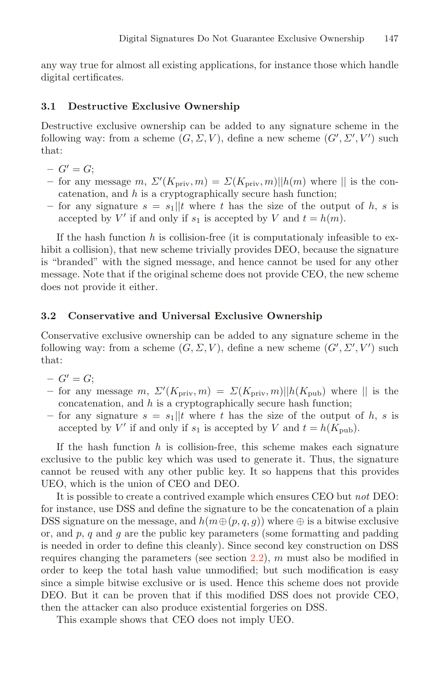any way true for almost all existing applications, for instance those which handle digital certificates.

#### **3.1 Destructive Exclusive Ownership**

Destructive exclusive ownership can be added to any signature scheme in the following way: from a scheme  $(G, \Sigma, V)$ , define a new scheme  $(G', \Sigma', V')$  such that:

- $G' = G;$
- $-$  for any message  $m, \Sigma'(K_{\text{priv}}, m) = \Sigma(K_{\text{priv}}, m) ||h(m)$  where  $||$  is the concatenation, and  $h$  is a cryptographically secure hash function;
- for any signature  $s = s_1||t$  where t has the size of the output of h, s is accepted by V' if and only if  $s_1$  is accepted by V and  $t = h(m)$ .

If the hash function h is collision-free (it is computationaly infeasible to exhibit a collision), that new scheme trivially provides DEO, because the signature is "branded" with the signed message, and hence cannot be used for any other message. Note that if the original scheme does not provide CEO, the new scheme does not provide it either.

#### **3.2 Conservative and Universal Exclusive Ownership**

Conservative exclusive ownership can be added to any signature scheme in the following way: from a scheme  $(G, \Sigma, V)$ , define a new scheme  $(G', \Sigma', V')$  such that:

- $G' = G;$
- $-$  for any message m,  $\Sigma'(K_{\text{priv}}, m) = \Sigma(K_{\text{priv}}, m) ||h(K_{\text{pub}})$  where  $||$  is the concatenation, and  $h$  is a cryptographically secure hash function;
- for any signature  $s = s_1||t$  where t has the size of the output of h, s is accepted by V' if and only if  $s_1$  is accepted by V and  $t = h(K_{\text{pub}})$ .

If the hash function  $h$  is collision-free, this scheme makes each signature exclusive to the public key which was used to generate it. Thus, the signature cannot be reused with any other public key. It so happens that this provides UEO, which is the union of CEO and DEO.

It is possible to create a contrived example which ensures CEO but *not* DEO: for instance, use DSS and define the signature to be the concatenation of a plain DSS signature on the message, and  $h(m \oplus (p,q,g))$  where  $\oplus$  is a bitwise exclusive or, and  $p$ ,  $q$  and  $g$  are the public key parameters (some formatting and padding is needed in order to define this cleanly). Since second key construction on DSS requires changing the parameters (see section  $2.2$ ), m must also be modified in order to keep the total hash value unmodified; but such modification is easy since a simple bitwise exclusive or is used. Hence this scheme does not provide DEO. But it can be proven that if this modified DSS does not provide CEO, then the attacker can also produce existential forgeries on DSS.

This example shows that CEO does not imply UEO.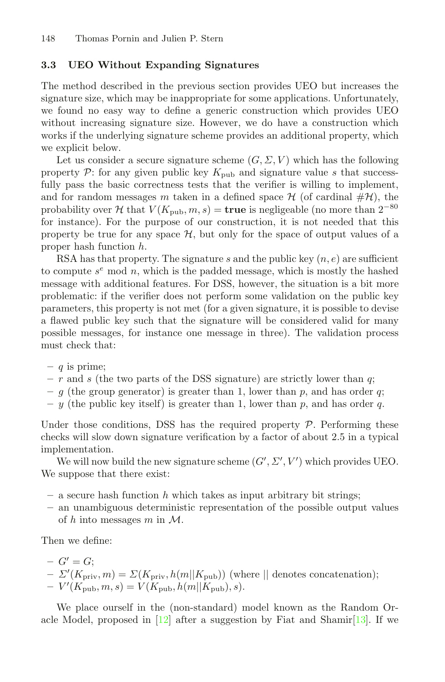### **3.3 UEO Without Expanding Signatures**

The method described in the previous section provides UEO but increases the signature size, which may be inappropriate for some applications. Unfortunately, we found no easy way to define a generic construction which provides UEO without increasing signature size. However, we do have a construction which works if the underlying signature scheme provides an additional property, which we explicit below.

Let us consider a secure signature scheme  $(G, \Sigma, V)$  which has the following property  $\mathcal{P}$ : for any given public key  $K_{\text{pub}}$  and signature value s that successfully pass the basic correctness tests that the verifier is willing to implement, and for random messages m taken in a defined space  $\mathcal H$  (of cardinal  $\#\mathcal H$ ), the probability over H that  $V(K_{\text{pub}}, m, s) = \text{true}$  is negligeable (no more than  $2^{-80}$ ) for instance). For the purpose of our construction, it is not needed that this property be true for any space  $H$ , but only for the space of output values of a proper hash function h.

RSA has that property. The signature s and the public key  $(n, e)$  are sufficient to compute  $s^e$  mod n, which is the padded message, which is mostly the hashed message with additional features. For DSS, however, the situation is a bit more problematic: if the verifier does not perform some validation on the public key parameters, this property is not met (for a given signature, it is possible to devise a flawed public key such that the signature will be considered valid for many possible messages, for instance one message in three). The validation process must check that:

- **–** q is prime;
- **–** r and s (the two parts of the DSS signature) are strictly lower than q;
- $-$  g (the group generator) is greater than 1, lower than p, and has order q;
- $-$  y (the public key itself) is greater than 1, lower than p, and has order q.

Under those conditions, DSS has the required property  $P$ . Performing these checks will slow down signature verification by a factor of about 2.5 in a typical implementation.

We will now build the new signature scheme  $(G', \Sigma', V')$  which provides UEO. We suppose that there exist:

- $-$  a secure hash function h which takes as input arbitrary bit strings;
- **–** an unambiguous deterministic representation of the possible output values of h into messages m in  $\mathcal{M}$ .

Then we define:

- 
$$
G' = G
$$
;  
\n-  $\Sigma'(K_{\text{priv}}, m) = \Sigma(K_{\text{priv}}, h(m||K_{\text{pub}}))$  (where || denotes concatenation);  
\n-  $V'(K_{\text{pub}}, m, s) = V(K_{\text{pub}}, h(m||K_{\text{pub}}), s).$ 

We place ourself in the (non-standard) model known as the Random Oracle Model, proposed in  $[12]$  $[12]$  after a suggestion by Fiat and Shamir $[13]$ . If we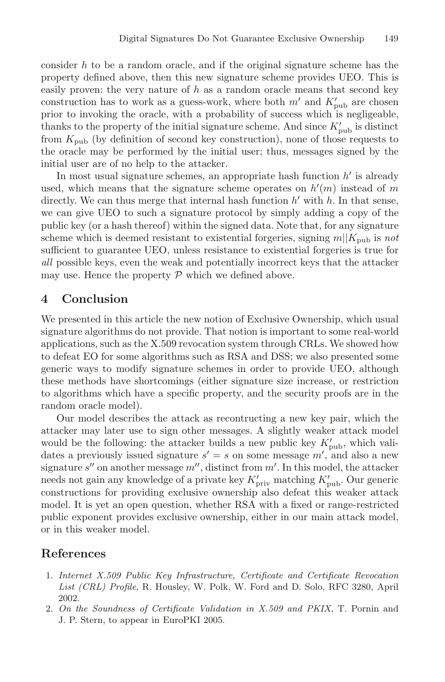consider  $h$  to be a random oracle, and if the original signature scheme has the property defined above, then this new signature scheme provides UEO. This is easily proven: the very nature of  $h$  as a random oracle means that second key construction has to work as a guess-work, where both  $m'$  and  $K'_{\text{pub}}$  are chosen prior to invoking the oracle, with a probability of success which is negligeable, thanks to the property of the initial signature scheme. And since  $K'_{\text{pub}}$  is distinct from  $K_{\text{pub}}$  (by definition of second key construction), none of those requests to the oracle may be performed by the initial user; thus, messages signed by the initial user are of no help to the attacker.

In most usual signature schemes, an appropriate hash function  $h'$  is already used, which means that the signature scheme operates on  $h'(m)$  instead of m directly. We can thus merge that internal hash function  $h'$  with  $h$ . In that sense, we can give UEO to such a signature protocol by simply adding a copy of the public key (or a hash thereof) within the signed data. Note that, for any signature scheme which is deemed resistant to existential forgeries, signing  $m||K_{pub}$  is *not* sufficient to guarantee UEO, unless resistance to existential forgeries is true for *all* possible keys, even the weak and potentially incorrect keys that the attacker may use. Hence the property  $P$  which we defined above.

# **4 Conclusion**

We presented in this article the new notion of Exclusive Ownership, which usual signature algorithms do not provide. That notion is important to some real-world applications, such as the X.509 revocation system through CRLs. We showed how to defeat EO for some algorithms such as RSA and DSS; we also presented some generic ways to modify signature schemes in order to provide UEO, although these methods have shortcomings (either signature size increase, or restriction to algorithms which have a specific property, and the security proofs are in the random oracle model).

Our model describes the attack as recontructing a new key pair, which the attacker may later use to sign other messages. A slightly weaker attack model would be the following: the attacker builds a new public key  $K'_{\text{pub}}$ , which validates a previously issued signature  $s' = s$  on some message  $m'$ , and also a new signature s'' on another message  $m''$ , distinct from  $m'$ . In this model, the attacker needs not gain any knowledge of a private key  $K'_{\text{priv}}$  matching  $K'_{\text{pub}}$ . Our generic constructions for providing exclusive ownership also defeat this weaker attack model. It is yet an open question, whether RSA with a fixed or range-restricted public exponent provides exclusive ownership, either in our main attack model, or in this weaker model.

# <span id="page-11-0"></span>**References**

- 1. Internet X.509 Public Key Infrastructure, Certificate and Certificate Revocation List (CRL) Profile, R. Housley, W. Polk, W. Ford and D. Solo, RFC 3280, April 2002.
- <span id="page-11-1"></span>2. On the Soundness of Certificate Validation in X.509 and PKIX, T. Pornin and J. P. Stern, to appear in EuroPKI 2005.